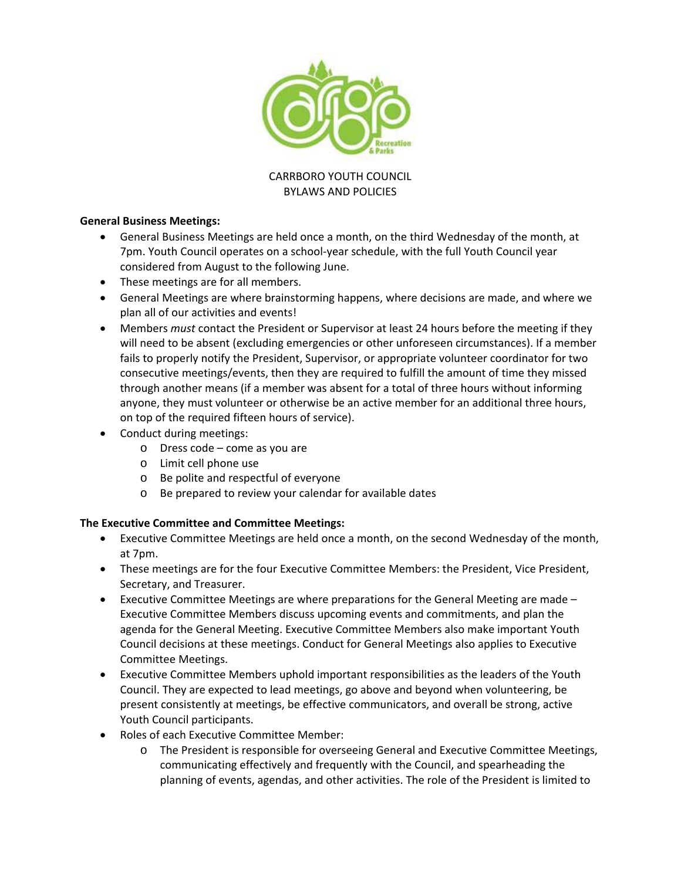

### CARRBORO YOUTH COUNCIL BYLAWS AND POLICIES

### **General Business Meetings:**

- General Business Meetings are held once a month, on the third Wednesday of the month, at 7pm. Youth Council operates on a school‐year schedule, with the full Youth Council year considered from August to the following June.
- These meetings are for all members.
- General Meetings are where brainstorming happens, where decisions are made, and where we plan all of our activities and events!
- Members *must* contact the President or Supervisor at least 24 hours before the meeting if they will need to be absent (excluding emergencies or other unforeseen circumstances). If a member fails to properly notify the President, Supervisor, or appropriate volunteer coordinator for two consecutive meetings/events, then they are required to fulfill the amount of time they missed through another means (if a member was absent for a total of three hours without informing anyone, they must volunteer or otherwise be an active member for an additional three hours, on top of the required fifteen hours of service).
- Conduct during meetings:
	- o Dress code come as you are
	- o Limit cell phone use
	- o Be polite and respectful of everyone
	- o Be prepared to review your calendar for available dates

# **The Executive Committee and Committee Meetings:**

- Executive Committee Meetings are held once a month, on the second Wednesday of the month, at 7pm.
- These meetings are for the four Executive Committee Members: the President, Vice President, Secretary, and Treasurer.
- Executive Committee Meetings are where preparations for the General Meeting are made Executive Committee Members discuss upcoming events and commitments, and plan the agenda for the General Meeting. Executive Committee Members also make important Youth Council decisions at these meetings. Conduct for General Meetings also applies to Executive Committee Meetings.
- Executive Committee Members uphold important responsibilities as the leaders of the Youth Council. They are expected to lead meetings, go above and beyond when volunteering, be present consistently at meetings, be effective communicators, and overall be strong, active Youth Council participants.
- Roles of each Executive Committee Member:
	- o The President is responsible for overseeing General and Executive Committee Meetings, communicating effectively and frequently with the Council, and spearheading the planning of events, agendas, and other activities. The role of the President is limited to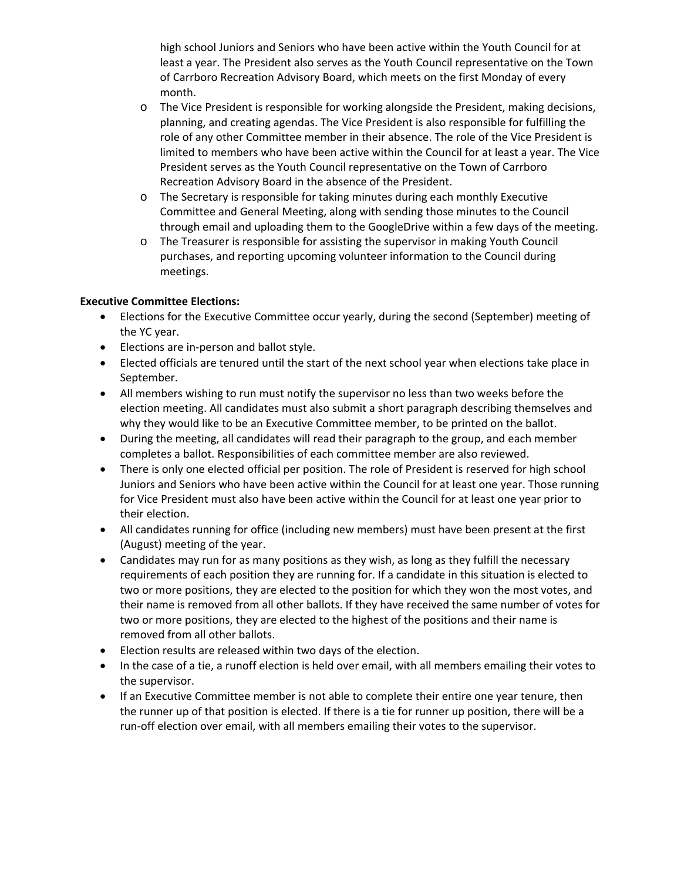high school Juniors and Seniors who have been active within the Youth Council for at least a year. The President also serves as the Youth Council representative on the Town of Carrboro Recreation Advisory Board, which meets on the first Monday of every month.

- o The Vice President is responsible for working alongside the President, making decisions, planning, and creating agendas. The Vice President is also responsible for fulfilling the role of any other Committee member in their absence. The role of the Vice President is limited to members who have been active within the Council for at least a year. The Vice President serves as the Youth Council representative on the Town of Carrboro Recreation Advisory Board in the absence of the President.
- o The Secretary is responsible for taking minutes during each monthly Executive Committee and General Meeting, along with sending those minutes to the Council through email and uploading them to the GoogleDrive within a few days of the meeting.
- o The Treasurer is responsible for assisting the supervisor in making Youth Council purchases, and reporting upcoming volunteer information to the Council during meetings.

## **Executive Committee Elections:**

- Elections for the Executive Committee occur yearly, during the second (September) meeting of the YC year.
- Elections are in-person and ballot style.
- Elected officials are tenured until the start of the next school year when elections take place in September.
- All members wishing to run must notify the supervisor no less than two weeks before the election meeting. All candidates must also submit a short paragraph describing themselves and why they would like to be an Executive Committee member, to be printed on the ballot.
- During the meeting, all candidates will read their paragraph to the group, and each member completes a ballot. Responsibilities of each committee member are also reviewed.
- There is only one elected official per position. The role of President is reserved for high school Juniors and Seniors who have been active within the Council for at least one year. Those running for Vice President must also have been active within the Council for at least one year prior to their election.
- All candidates running for office (including new members) must have been present at the first (August) meeting of the year.
- Candidates may run for as many positions as they wish, as long as they fulfill the necessary requirements of each position they are running for. If a candidate in this situation is elected to two or more positions, they are elected to the position for which they won the most votes, and their name is removed from all other ballots. If they have received the same number of votes for two or more positions, they are elected to the highest of the positions and their name is removed from all other ballots.
- Election results are released within two days of the election.
- In the case of a tie, a runoff election is held over email, with all members emailing their votes to the supervisor.
- If an Executive Committee member is not able to complete their entire one year tenure, then the runner up of that position is elected. If there is a tie for runner up position, there will be a run‐off election over email, with all members emailing their votes to the supervisor.